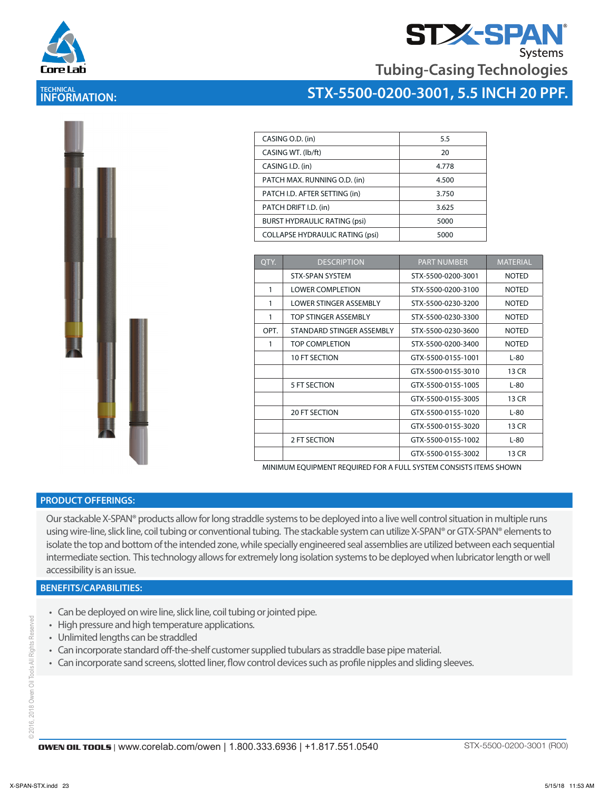

**TECHNICAL INFORMATION:** 



**Tubing-Casing Technologies**

### **STX-5500-0200-3001, 5.5 INCH 20 PPF.**

| CASING O.D. (in)                       | 5.5   |
|----------------------------------------|-------|
| CASING WT. (lb/ft)                     | 20    |
| CASING I.D. (in)                       | 4.778 |
| PATCH MAX. RUNNING O.D. (in)           | 4.500 |
| PATCH I.D. AFTER SETTING (in)          | 3.750 |
| PATCH DRIFT I.D. (in)                  | 3.625 |
| <b>BURST HYDRAULIC RATING (psi)</b>    | 5000  |
| <b>COLLAPSE HYDRAULIC RATING (psi)</b> | 5000  |

| OTY. | <b>DESCRIPTION</b>        | <b>PART NUMBER</b> | <b>MATERIAL</b> |
|------|---------------------------|--------------------|-----------------|
|      | <b>STX-SPAN SYSTEM</b>    | STX-5500-0200-3001 | <b>NOTED</b>    |
| 1    | <b>LOWER COMPLETION</b>   | STX-5500-0200-3100 | <b>NOTED</b>    |
| 1    | LOWER STINGER ASSEMBLY    | STX-5500-0230-3200 | <b>NOTED</b>    |
| 1    | TOP STINGER ASSEMBLY      | STX-5500-0230-3300 | <b>NOTED</b>    |
| OPT. | STANDARD STINGER ASSEMBLY | STX-5500-0230-3600 | <b>NOTED</b>    |
| 1    | TOP COMPLETION            | STX-5500-0200-3400 | <b>NOTED</b>    |
|      | 10 FT SECTION             | GTX-5500-0155-1001 | $L-80$          |
|      |                           | GTX-5500-0155-3010 | 13 CR           |
|      | 5 FT SECTION              | GTX-5500-0155-1005 | $L-80$          |
|      |                           | GTX-5500-0155-3005 | 13 CR           |
|      | <b>20 FT SECTION</b>      | GTX-5500-0155-1020 | $L-80$          |
|      |                           | GTX-5500-0155-3020 | 13 CR           |
|      | 2 FT SECTION              | GTX-5500-0155-1002 | $L-80$          |
|      |                           | GTX-5500-0155-3002 | 13 CR           |

MINIMUM EQUIPMENT REQUIRED FOR A FULL SYSTEM CONSISTS ITEMS SHOWN

#### **PRODUCT OFFERINGS:**

Our stackable X-SPAN® products allow for long straddle systems to be deployed into a live well control situation in multiple runs using wire-line, slick line, coil tubing or conventional tubing. The stackable system can utilize X-SPAN® or GTX-SPAN® elements to isolate the top and bottom of the intended zone, while specially engineered seal assemblies are utilized between each sequential intermediate section. This technology allows for extremely long isolation systems to be deployed when lubricator length or well accessibility is an issue.

#### **BENEFITS/CAPABILITIES:**

- Can be deployed on wire line, slick line, coil tubing or jointed pipe.
- High pressure and high temperature applications.
- Unlimited lengths can be straddled
- Can incorporate standard off-the-shelf customer supplied tubulars as straddle base pipe material.
- Can incorporate sand screens, slotted liner, flow control devices such as profile nipples and sliding sleeves.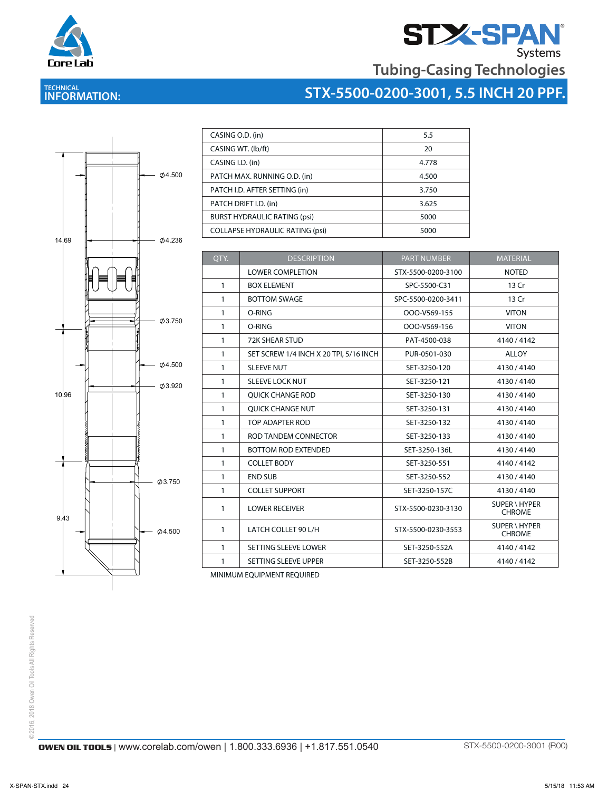

**TECHNICAL INFORMATION:** 

# **STX-SPAN**<br>Tubing-Casing Technologies

## **STX-5500-0200-3001, 5.5 INCH 20 PPF.**



| CASING O.D. (in)                       | 5.5   |
|----------------------------------------|-------|
| CASING WT. (lb/ft)                     | 20    |
| CASING I.D. (in)                       | 4.778 |
| PATCH MAX. RUNNING O.D. (in)           | 4.500 |
| PATCH I.D. AFTER SETTING (in)          | 3.750 |
| PATCH DRIFT I.D. (in)                  | 3.625 |
| <b>BURST HYDRAULIC RATING (psi)</b>    | 5000  |
| <b>COLLAPSE HYDRAULIC RATING (psi)</b> | 5000  |

| OTY.         | <b>DESCRIPTION</b>                     | <b>PART NUMBER</b> | <b>MATERIAL</b>                       |
|--------------|----------------------------------------|--------------------|---------------------------------------|
|              | <b>LOWER COMPLETION</b>                | STX-5500-0200-3100 | <b>NOTED</b>                          |
| $\mathbf{1}$ | <b>BOX ELEMENT</b>                     | SPC-5500-C31       | 13 Cr                                 |
| 1            | <b>BOTTOM SWAGE</b>                    | SPC-5500-0200-3411 | 13 Cr                                 |
| 1            | O-RING                                 | OOO-V569-155       | <b>VITON</b>                          |
| $\mathbf{1}$ | O-RING                                 | OOO-V569-156       | <b>VITON</b>                          |
| $\mathbf{1}$ | <b>72K SHEAR STUD</b>                  | PAT-4500-038       | 4140/4142                             |
| 1            | SET SCREW 1/4 INCH X 20 TPI, 5/16 INCH | PUR-0501-030       | <b>ALLOY</b>                          |
| $\mathbf{1}$ | <b>SLEEVE NUT</b>                      | SET-3250-120       | 4130/4140                             |
| 1            | <b>SLEEVE LOCK NUT</b>                 | SET-3250-121       | 4130/4140                             |
| 1            | <b>OUICK CHANGE ROD</b>                | SET-3250-130       | 4130/4140                             |
| $\mathbf{1}$ | <b>OUICK CHANGE NUT</b>                | SET-3250-131       | 4130/4140                             |
| $\mathbf{1}$ | TOP ADAPTER ROD                        | SET-3250-132       | 4130/4140                             |
| 1            | ROD TANDEM CONNECTOR                   | SET-3250-133       | 4130/4140                             |
| 1            | <b>BOTTOM ROD EXTENDED</b>             | SET-3250-136L      | 4130/4140                             |
| $\mathbf{1}$ | <b>COLLET BODY</b>                     | SET-3250-551       | 4140/4142                             |
| 1            | <b>END SUB</b>                         | SET-3250-552       | 4130/4140                             |
| $\mathbf{1}$ | <b>COLLET SUPPORT</b>                  | SET-3250-157C      | 4130/4140                             |
| 1            | <b>LOWER RECEIVER</b>                  | STX-5500-0230-3130 | <b>SUPER \ HYPER</b><br><b>CHROME</b> |
| 1            | LATCH COLLET 90 L/H                    | STX-5500-0230-3553 | SUPER \ HYPER<br><b>CHROME</b>        |
| $\mathbf{1}$ | SETTING SLEEVE LOWER                   | SET-3250-552A      | 4140/4142                             |
| 1            | SETTING SLEEVE UPPER                   | SET-3250-552B      | 4140/4142                             |

MINIMUM EQUIPMENT REQUIRED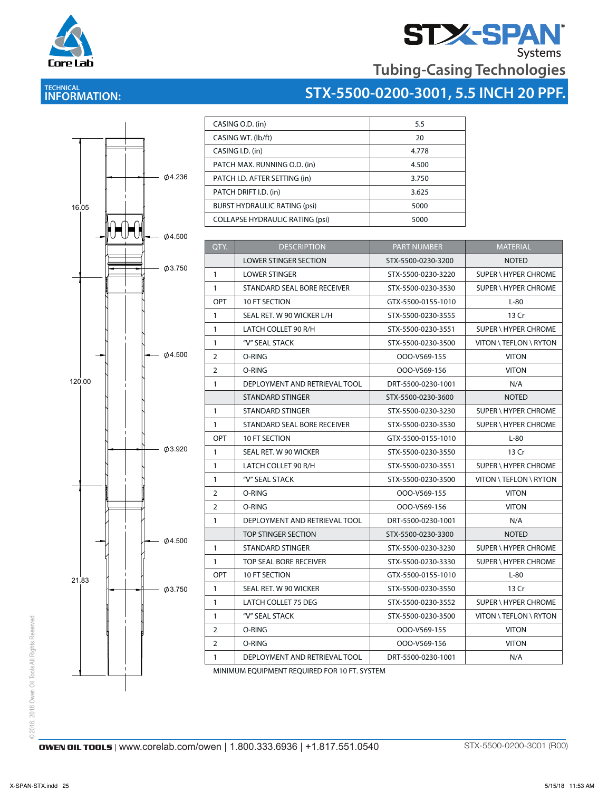

# **STX-5500-0200-3001, 5.5 INCH 20 PPF.**



**TECHNICAL INFORMATION:** 

Core Lab

| CASING O.D. (in)                       | 5.5   |  |
|----------------------------------------|-------|--|
| CASING WT. (lb/ft)                     | 20    |  |
| CASING I.D. (in)                       | 4.778 |  |
| PATCH MAX. RUNNING O.D. (in)           | 4.500 |  |
| PATCH I.D. AFTER SETTING (in)          | 3.750 |  |
| PATCH DRIFT I.D. (in)                  | 3.625 |  |
| <b>BURST HYDRAULIC RATING (psi)</b>    | 5000  |  |
| <b>COLLAPSE HYDRAULIC RATING (psi)</b> | 5000  |  |

CASING WITH WARD WAS CITED AND RELEASED FOR DESCRIPTION OF RELEASED FOR A STRONG WITH  $\sim$ 

| QTY.           | <b>DESCRIPTION</b>            | <b>PART NUMBER</b> | <b>MATERIAL</b>             |
|----------------|-------------------------------|--------------------|-----------------------------|
|                | <b>LOWER STINGER SECTION</b>  | STX-5500-0230-3200 | <b>NOTED</b>                |
| $\mathbf{1}$   | <b>LOWER STINGER</b>          | STX-5500-0230-3220 | SUPER \ HYPER CHROME        |
| $\mathbf{1}$   | STANDARD SEAL BORE RECEIVER   | STX-5500-0230-3530 | SUPER \ HYPER CHROME        |
| <b>OPT</b>     | 10 FT SECTION                 | GTX-5500-0155-1010 | $L-80$                      |
| $\mathbf{1}$   | SEAL RET. W 90 WICKER L/H     | STX-5500-0230-3555 | 13 Cr                       |
| $\mathbf{1}$   | LATCH COLLET 90 R/H           | STX-5500-0230-3551 | SUPER \ HYPER CHROME        |
| $\mathbf{1}$   | "V" SEAL STACK                | STX-5500-0230-3500 | VITON \ TEFLON \ RYTON      |
| $\overline{2}$ | O-RING                        | OOO-V569-155       | <b>VITON</b>                |
| 2              | O-RING                        | OOO-V569-156       | <b>VITON</b>                |
| $\mathbf{1}$   | DEPLOYMENT AND RETRIEVAL TOOL | DRT-5500-0230-1001 | N/A                         |
|                | <b>STANDARD STINGER</b>       | STX-5500-0230-3600 | <b>NOTED</b>                |
| $\mathbf{1}$   | STANDARD STINGER              | STX-5500-0230-3230 | SUPER \ HYPER CHROME        |
| $\mathbf{1}$   | STANDARD SEAL BORE RECEIVER   | STX-5500-0230-3530 | SUPER \ HYPER CHROME        |
| OPT            | <b>10 FT SECTION</b>          | GTX-5500-0155-1010 | $L-80$                      |
| $\mathbf{1}$   | SEAL RET. W 90 WICKER         | STX-5500-0230-3550 | 13 Cr                       |
| $\mathbf{1}$   | LATCH COLLET 90 R/H           | STX-5500-0230-3551 | SUPER \ HYPER CHROME        |
| $\mathbf{1}$   | "V" SEAL STACK                | STX-5500-0230-3500 | VITON \ TEFLON \ RYTON      |
| $\overline{2}$ | O-RING                        | OOO-V569-155       | <b>VITON</b>                |
| 2              | O-RING                        | OOO-V569-156       | <b>VITON</b>                |
| $\mathbf{1}$   | DEPLOYMENT AND RETRIEVAL TOOL | DRT-5500-0230-1001 | N/A                         |
|                | TOP STINGER SECTION           | STX-5500-0230-3300 | <b>NOTED</b>                |
| $\mathbf{1}$   | <b>STANDARD STINGER</b>       | STX-5500-0230-3230 | SUPER \ HYPER CHROME        |
| $\mathbf{1}$   | <b>TOP SEAL BORE RECEIVER</b> | STX-5500-0230-3330 | <b>SUPER \ HYPER CHROME</b> |
| OPT            | <b>10 FT SECTION</b>          | GTX-5500-0155-1010 | $L-80$                      |
| $\mathbf{1}$   | SEAL RET. W 90 WICKER         | STX-5500-0230-3550 | 13 Cr                       |
| $\mathbf{1}$   | LATCH COLLET 75 DEG           | STX-5500-0230-3552 | SUPER \ HYPER CHROME        |
| $\mathbf{1}$   | "V" SEAL STACK                | STX-5500-0230-3500 | VITON \ TEFLON \ RYTON      |
| $\overline{2}$ | O-RING                        | OOO-V569-155       | <b>VITON</b>                |
| $\overline{2}$ | O-RING                        | OOO-V569-156       | <b>VITON</b>                |
| $\mathbf{1}$   | DEPLOYMENT AND RETRIEVAL TOOL | DRT-5500-0230-1001 | N/A                         |

MINIMUM EQUIPMENT REQUIRED FOR 10 FT. SYSTEM

© 2016, 2018 Owen Oil Tools All Rights Reserved © 2016, 2018 Owen Oil Tools All Rights Reserved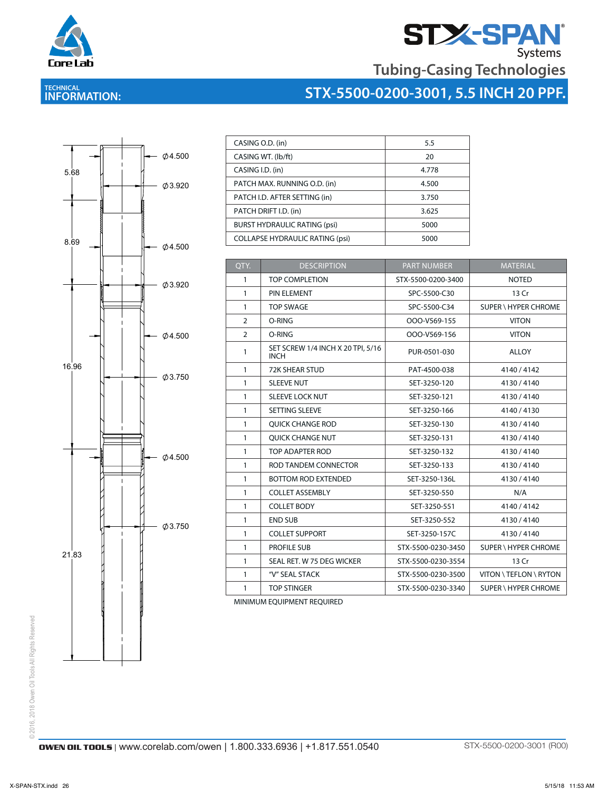

# **STX-SPAN**<br>Tubing-Casing Technologies

**STX-5500-0200-3001, 5.5 INCH 20 PPF.**

#### **TECHNICAL INFORMATION:**



| CASING O.D. (in)                       | 5.5   |
|----------------------------------------|-------|
| CASING WT. (lb/ft)                     | 20    |
| CASING I.D. (in)                       | 4.778 |
| PATCH MAX. RUNNING O.D. (in)           | 4.500 |
| PATCH I.D. AFTER SETTING (in)          | 3.750 |
| PATCH DRIFT I.D. (in)                  | 3.625 |
| <b>BURST HYDRAULIC RATING (psi)</b>    | 5000  |
| <b>COLLAPSE HYDRAULIC RATING (psi)</b> | 5000  |

| QTY.<br><b>DESCRIPTION</b>                            | <b>PART NUMBER</b> | <b>MATERIAL</b>             |
|-------------------------------------------------------|--------------------|-----------------------------|
| <b>TOP COMPLETION</b><br>1                            | STX-5500-0200-3400 | <b>NOTED</b>                |
| PIN ELEMENT<br>1                                      | SPC-5500-C30       | 13 Cr                       |
| <b>TOP SWAGE</b><br>1                                 | SPC-5500-C34       | <b>SUPER \ HYPER CHROME</b> |
| $\overline{2}$<br>O-RING                              | OOO-V569-155       | <b>VITON</b>                |
| O-RING<br>2                                           | OOO-V569-156       | <b>VITON</b>                |
| SET SCREW 1/4 INCH X 20 TPI, 5/16<br>1<br><b>INCH</b> | PUR-0501-030       | <b>ALLOY</b>                |
| $\mathbf{1}$<br><b>72K SHEAR STUD</b>                 | PAT-4500-038       | 4140/4142                   |
| <b>SLEEVE NUT</b><br>$\mathbf{1}$                     | SET-3250-120       | 4130/4140                   |
| <b>SLEEVE LOCK NUT</b><br>$\mathbf{1}$                | SET-3250-121       | 4130/4140                   |
| SETTING SLEEVE<br>$\mathbf{1}$                        | SET-3250-166       | 4140/4130                   |
| $\mathbf{1}$<br><b>OUICK CHANGE ROD</b>               | SET-3250-130       | 4130/4140                   |
| <b>OUICK CHANGE NUT</b><br>$\mathbf{1}$               | SET-3250-131       | 4130/4140                   |
| TOP ADAPTER ROD<br>1                                  | SET-3250-132       | 4130/4140                   |
| $\mathbf{1}$<br>ROD TANDEM CONNECTOR                  | SET-3250-133       | 4130/4140                   |
| <b>BOTTOM ROD EXTENDED</b><br>1                       | SET-3250-136L      | 4130/4140                   |
| <b>COLLET ASSEMBLY</b><br>1                           | SET-3250-550       | N/A                         |
| <b>COLLET BODY</b><br>1                               | SET-3250-551       | 4140/4142                   |
| <b>END SUB</b><br>1                                   | SET-3250-552       | 4130/4140                   |
| <b>COLLET SUPPORT</b><br>1                            | SET-3250-157C      | 4130/4140                   |
| PROFILE SUB<br>1                                      | STX-5500-0230-3450 | <b>SUPER \ HYPER CHROME</b> |
| SEAL RET. W 75 DEG WICKER<br>1                        | STX-5500-0230-3554 | 13 Cr                       |
| "V" SEAL STACK<br>1                                   | STX-5500-0230-3500 | VITON \ TEFLON \ RYTON      |
| 1<br><b>TOP STINGER</b>                               | STX-5500-0230-3340 | SUPER \ HYPER CHROME        |

MINIMUM EQUIPMENT REQUIRED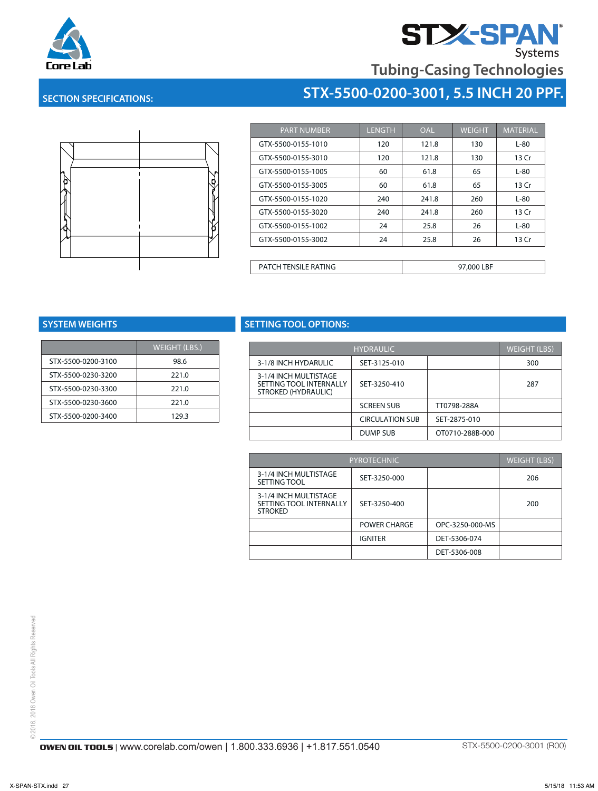



## **STX-5500-0200-3001, 5.5 INCH 20 PPF.**



**SECTION SPECIFICATIONS:**

| <b>PART NUMBER</b>          | <b>LENGTH</b> | <b>OAL</b> | <b>WEIGHT</b> | <b>MATERIAL</b> |
|-----------------------------|---------------|------------|---------------|-----------------|
| GTX-5500-0155-1010          | 120           | 121.8      | 130           | $L-80$          |
| GTX-5500-0155-3010          | 120           | 121.8      | 130           | 13 Cr           |
| GTX-5500-0155-1005          | 60            | 61.8       | 65            | $L-80$          |
| GTX-5500-0155-3005          | 60            | 61.8       | 65            | 13 Cr           |
| GTX-5500-0155-1020          | 240           | 241.8      | 260           | $L-80$          |
| GTX-5500-0155-3020          | 240           | 241.8      | 260           | 13 Cr           |
| GTX-5500-0155-1002          | 24            | 25.8       | 26            | $L-80$          |
| GTX-5500-0155-3002          | 24            | 25.8       | 26            | 13 Cr           |
|                             |               |            |               |                 |
| <b>PATCH TENSILE RATING</b> |               |            | 97,000 LBF    |                 |

|                    | <b>WEIGHT (LBS.)</b> |
|--------------------|----------------------|
| STX-5500-0200-3100 | 98.6                 |
| STX-5500-0230-3200 | 221.0                |
| STX-5500-0230-3300 | 221.0                |
| STX-5500-0230-3600 | 221.0                |
| STX-5500-0200-3400 | 129.3                |

#### **SYSTEM WEIGHTS SETTING TOOL OPTIONS:** SETTING TOOL OPTIONS HOULUI HUNDA

| GHT (LBS.) |                                                | <b>HYDRAULIC</b>       |                 | <b>WEIGHT (LBS)</b> |
|------------|------------------------------------------------|------------------------|-----------------|---------------------|
| 98.6       | 3-1/8 INCH HYDARULIC                           | SET-3125-010           |                 | 300                 |
| 221.0      | 3-1/4 INCH MULTISTAGE                          |                        |                 |                     |
| 221.0      | SETTING TOOL INTERNALLY<br>STROKED (HYDRAULIC) | SET-3250-410           |                 | 287                 |
| 221.0      |                                                | <b>SCREEN SUB</b>      | TT0798-288A     |                     |
| 129.3      |                                                | <b>CIRCULATION SUB</b> | SET-2875-010    |                     |
|            |                                                | DUMP SUB               | OT0710-288B-000 |                     |

| PYROTECHNIC                                                        |                |                 | <b>WEIGHT (LBS)</b> |
|--------------------------------------------------------------------|----------------|-----------------|---------------------|
| 3-1/4 INCH MULTISTAGE<br>SETTING TOOL                              | SET-3250-000   |                 | 206                 |
| 3-1/4 INCH MULTISTAGE<br>SETTING TOOL INTERNALLY<br><b>STROKED</b> | SET-3250-400   |                 | 200                 |
|                                                                    | POWER CHARGE   | OPC-3250-000-MS |                     |
|                                                                    | <b>IGNITER</b> | DET-5306-074    |                     |
|                                                                    |                | DET-5306-008    |                     |